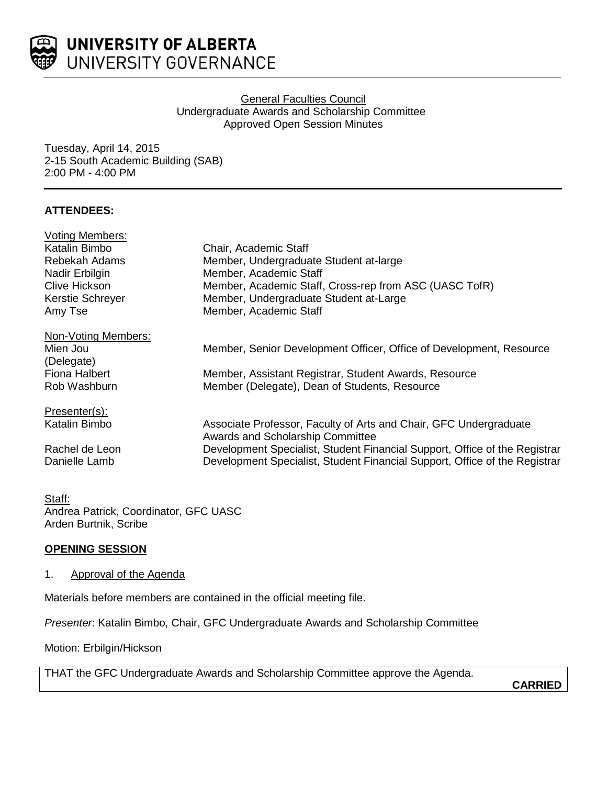

### **General Faculties Council** Undergraduate Awards and Scholarship Committee Approved Open Session Minutes

Tuesday, April 14, 2015 2-15 South Academic Building (SAB) 2:00 PM - 4:00 PM

## **ATTENDEES:**

| <b>Voting Members:</b>                           | Chair, Academic Staff<br>Member, Undergraduate Student at-large<br>Member, Academic Staff             |                  |                                                        |
|--------------------------------------------------|-------------------------------------------------------------------------------------------------------|------------------|--------------------------------------------------------|
| Katalin Bimbo<br>Rebekah Adams<br>Nadir Erbilgin |                                                                                                       |                  |                                                        |
|                                                  |                                                                                                       | Clive Hickson    | Member, Academic Staff, Cross-rep from ASC (UASC TofR) |
|                                                  |                                                                                                       | Kerstie Schreyer | Member, Undergraduate Student at-Large                 |
| Amy Tse                                          | Member, Academic Staff                                                                                |                  |                                                        |
| Non-Voting Members:                              |                                                                                                       |                  |                                                        |
| Mien Jou                                         | Member, Senior Development Officer, Office of Development, Resource                                   |                  |                                                        |
| (Delegate)                                       |                                                                                                       |                  |                                                        |
| Fiona Halbert                                    | Member, Assistant Registrar, Student Awards, Resource                                                 |                  |                                                        |
| Rob Washburn                                     | Member (Delegate), Dean of Students, Resource                                                         |                  |                                                        |
| Presenter(s):                                    |                                                                                                       |                  |                                                        |
| Katalin Bimbo                                    | Associate Professor, Faculty of Arts and Chair, GFC Undergraduate<br>Awards and Scholarship Committee |                  |                                                        |
| Rachel de Leon                                   | Development Specialist, Student Financial Support, Office of the Registrar                            |                  |                                                        |
| Danielle Lamb                                    | Development Specialist, Student Financial Support, Office of the Registrar                            |                  |                                                        |

### Staff:

Andrea Patrick, Coordinator, GFC UASC Arden Burtnik, Scribe

#### **OPENING SESSION**

#### 1. Approval of the Agenda

Materials before members are contained in the official meeting file.

*Presenter*: Katalin Bimbo, Chair, GFC Undergraduate Awards and Scholarship Committee

Motion: Erbilgin/Hickson

THAT the GFC Undergraduate Awards and Scholarship Committee approve the Agenda.

**CARRIED**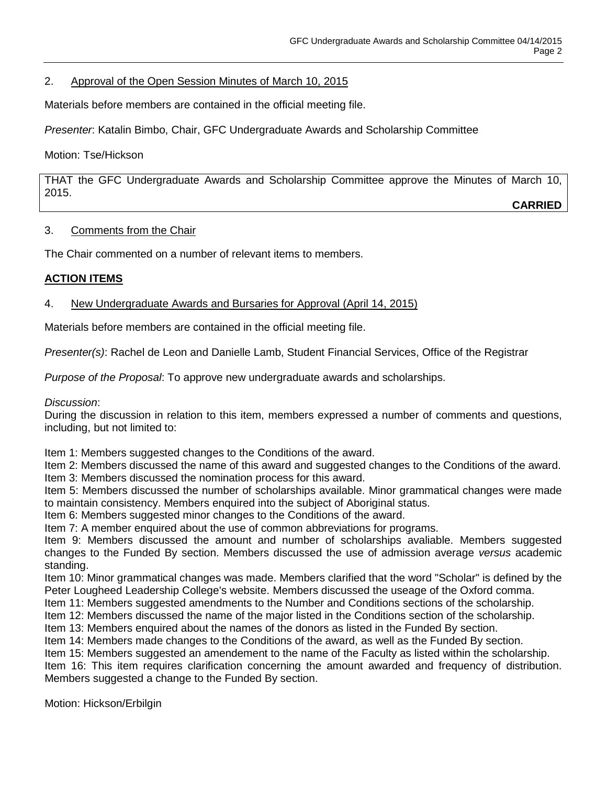## 2. Approval of the Open Session Minutes of March 10, 2015

Materials before members are contained in the official meeting file.

*Presenter*: Katalin Bimbo, Chair, GFC Undergraduate Awards and Scholarship Committee

Motion: Tse/Hickson

THAT the GFC Undergraduate Awards and Scholarship Committee approve the Minutes of March 10, 2015. **CARRIED**

#### 3. Comments from the Chair

The Chair commented on a number of relevant items to members.

## **ACTION ITEMS**

## 4. New Undergraduate Awards and Bursaries for Approval (April 14, 2015)

Materials before members are contained in the official meeting file.

*Presenter(s)*: Rachel de Leon and Danielle Lamb, Student Financial Services, Office of the Registrar

*Purpose of the Proposal*: To approve new undergraduate awards and scholarships.

#### *Discussion*:

During the discussion in relation to this item, members expressed a number of comments and questions, including, but not limited to:

Item 1: Members suggested changes to the Conditions of the award.

Item 2: Members discussed the name of this award and suggested changes to the Conditions of the award. Item 3: Members discussed the nomination process for this award.

Item 5: Members discussed the number of scholarships available. Minor grammatical changes were made to maintain consistency. Members enquired into the subject of Aboriginal status.

Item 6: Members suggested minor changes to the Conditions of the award.

Item 7: A member enquired about the use of common abbreviations for programs.

Item 9: Members discussed the amount and number of scholarships avaliable. Members suggested changes to the Funded By section. Members discussed the use of admission average *versus* academic standing.

Item 10: Minor grammatical changes was made. Members clarified that the word "Scholar" is defined by the Peter Lougheed Leadership College's website. Members discussed the useage of the Oxford comma.

Item 11: Members suggested amendments to the Number and Conditions sections of the scholarship.

Item 12: Members discussed the name of the major listed in the Conditions section of the scholarship.

Item 13: Members enquired about the names of the donors as listed in the Funded By section.

Item 14: Members made changes to the Conditions of the award, as well as the Funded By section.

Item 15: Members suggested an amendement to the name of the Faculty as listed within the scholarship.

Item 16: This item requires clarification concerning the amount awarded and frequency of distribution. Members suggested a change to the Funded By section.

Motion: Hickson/Erbilgin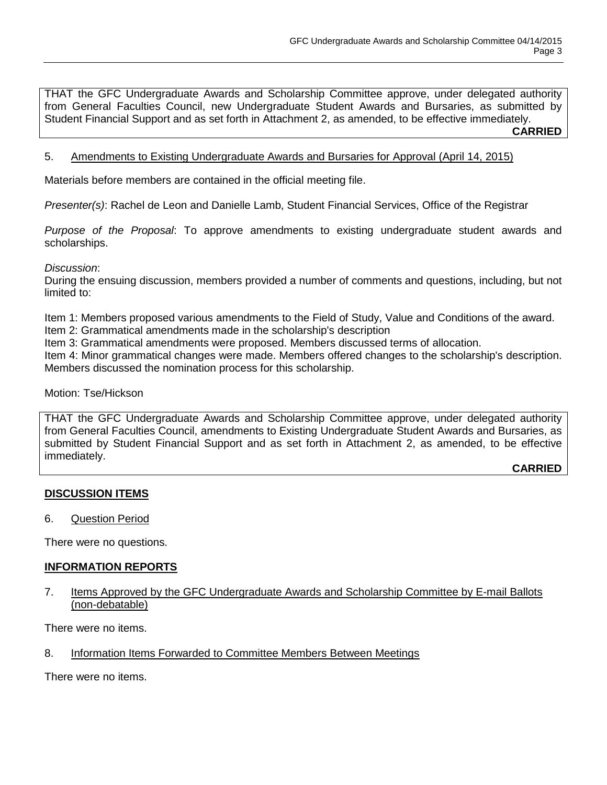THAT the GFC Undergraduate Awards and Scholarship Committee approve, under delegated authority from General Faculties Council, new Undergraduate Student Awards and Bursaries, as submitted by Student Financial Support and as set forth in Attachment 2, as amended, to be effective immediately.

**CARRIED**

### 5. Amendments to Existing Undergraduate Awards and Bursaries for Approval (April 14, 2015)

Materials before members are contained in the official meeting file.

*Presenter(s)*: Rachel de Leon and Danielle Lamb, Student Financial Services, Office of the Registrar

*Purpose of the Proposal*: To approve amendments to existing undergraduate student awards and scholarships.

*Discussion*:

During the ensuing discussion, members provided a number of comments and questions, including, but not limited to:

Item 1: Members proposed various amendments to the Field of Study, Value and Conditions of the award.

Item 2: Grammatical amendments made in the scholarship's description

Item 3: Grammatical amendments were proposed. Members discussed terms of allocation.

Item 4: Minor grammatical changes were made. Members offered changes to the scholarship's description. Members discussed the nomination process for this scholarship.

Motion: Tse/Hickson

THAT the GFC Undergraduate Awards and Scholarship Committee approve, under delegated authority from General Faculties Council, amendments to Existing Undergraduate Student Awards and Bursaries, as submitted by Student Financial Support and as set forth in Attachment 2, as amended, to be effective immediately.

**CARRIED**

#### **DISCUSSION ITEMS**

6. Question Period

There were no questions.

#### **INFORMATION REPORTS**

7. Items Approved by the GFC Undergraduate Awards and Scholarship Committee by E-mail Ballots (non-debatable)

There were no items.

8. Information Items Forwarded to Committee Members Between Meetings

There were no items.